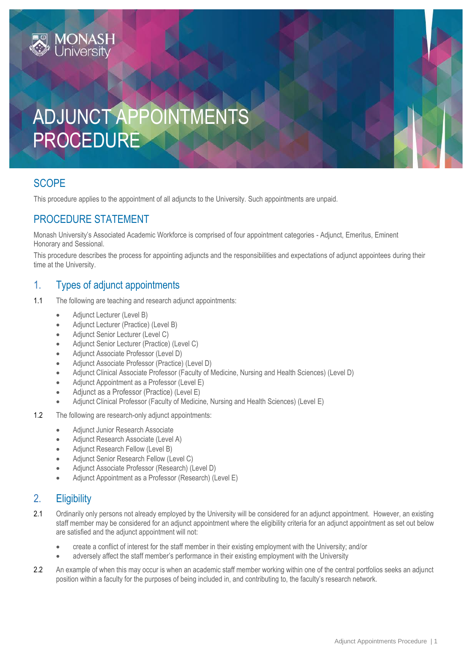# ADJUNCT APPOINTMENTS PROCEDURE

# **SCOPE**

This procedure applies to the appointment of all adjuncts to the University. Such appointments are unpaid.

# PROCEDURE STATEMENT

Monash University's Associated Academic Workforce is comprised of four appointment categories - Adjunct, Emeritus, Eminent Honorary and Sessional.

This procedure describes the process for appointing adjuncts and the responsibilities and expectations of adjunct appointees during their time at the University.

# 1. Types of adjunct appointments

- 1.1 The following are teaching and research adjunct appointments:
	- Adjunct Lecturer (Level B)
	- Adjunct Lecturer (Practice) (Level B)
	- Adjunct Senior Lecturer (Level C)
	- Adjunct Senior Lecturer (Practice) (Level C)
	- Adjunct Associate Professor (Level D)
	- Adjunct Associate Professor (Practice) (Level D)
	- Adjunct Clinical Associate Professor (Faculty of Medicine, Nursing and Health Sciences) (Level D)
	- Adjunct Appointment as a Professor (Level E)
	- Adjunct as a Professor (Practice) (Level E)
	- Adjunct Clinical Professor (Faculty of Medicine, Nursing and Health Sciences) (Level E)
- 1.2 The following are research-only adjunct appointments:
	- **Adjunct Junior Research Associate**
	- Adjunct Research Associate (Level A)
	- Adjunct Research Fellow (Level B)
	- Adjunct Senior Research Fellow (Level C)
	- Adjunct Associate Professor (Research) (Level D)
	- Adjunct Appointment as a Professor (Research) (Level E)

# 2. Eligibility

- 2.1 Ordinarily only persons not already employed by the University will be considered for an adjunct appointment. However, an existing staff member may be considered for an adjunct appointment where the eligibility criteria for an adjunct appointment as set out below are satisfied and the adjunct appointment will not:
	- create a conflict of interest for the staff member in their existing employment with the University; and/or
	- adversely affect the staff member's performance in their existing employment with the University
- 2.2 An example of when this may occur is when an academic staff member working within one of the central portfolios seeks an adjunct position within a faculty for the purposes of being included in, and contributing to, the faculty's research network.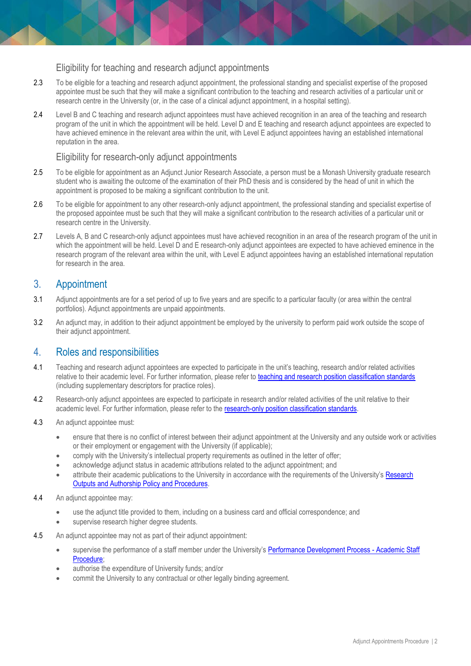#### Eligibility for teaching and research adjunct appointments

- 2.3 To be eligible for a teaching and research adjunct appointment, the professional standing and specialist expertise of the proposed appointee must be such that they will make a significant contribution to the teaching and research activities of a particular unit or research centre in the University (or, in the case of a clinical adjunct appointment, in a hospital setting).
- 2.4 Level B and C teaching and research adjunct appointees must have achieved recognition in an area of the teaching and research program of the unit in which the appointment will be held. Level D and E teaching and research adjunct appointees are expected to have achieved eminence in the relevant area within the unit, with Level E adjunct appointees having an established international reputation in the area.

### Eligibility for research-only adjunct appointments

- 2.5 To be eligible for appointment as an Adjunct Junior Research Associate, a person must be a Monash University graduate research student who is awaiting the outcome of the examination of their PhD thesis and is considered by the head of unit in which the appointment is proposed to be making a significant contribution to the unit.
- 2.6 To be eligible for appointment to any other research-only adjunct appointment, the professional standing and specialist expertise of the proposed appointee must be such that they will make a significant contribution to the research activities of a particular unit or research centre in the University.
- 2.7 Levels A, B and C research-only adjunct appointees must have achieved recognition in an area of the research program of the unit in which the appointment will be held. Level D and E research-only adjunct appointees are expected to have achieved eminence in the research program of the relevant area within the unit, with Level E adjunct appointees having an established international reputation for research in the area.

# 3. Appointment

- 3.1 Adjunct appointments are for a set period of up to five years and are specific to a particular faculty (or area within the central portfolios). Adjunct appointments are unpaid appointments.
- 3.2 An adjunct may, in addition to their adjunct appointment be employed by the university to perform paid work outside the scope of their adjunct appointment.

## 4. Roles and responsibilities

- 4.1 Teaching and research adjunct appointees are expected to participate in the unit's teaching, research and/or related activities relative to their academic level. For further information, please refer to [teaching and research position classification standards](http://www.intranet.monash/hr/tools-and-resources/manager-resources/recruitment-and-appointments/categories/academic/teaching-research) (including supplementary descriptors for practice roles).
- 4.2 Research-only adjunct appointees are expected to participate in research and/or related activities of the unit relative to their academic level. For further information, please refer to the [research-only position classification standards.](http://www.intranet.monash/hr/tools-and-resources/manager-resources/recruitment-and-appointments/categories/academic/research-only)
- 4.3 An adjunct appointee must:
	- ensure that there is no conflict of interest between their adjunct appointment at the University and any outside work or activities or their employment or engagement with the University (if applicable);
	- comply with the University's intellectual property requirements as outlined in the letter of offer;
	- acknowledge adjunct status in academic attributions related to the adjunct appointment; and
	- attribute their academic publications to the University in accordance with the requirements of the University's Research [Outputs and Authorship Policy and Procedures.](https://www.monash.edu/policy-bank/policies-and-procedures/academic/research)
- 4.4 An adjunct appointee may:
	- use the adjunct title provided to them, including on a business card and official correspondence; and
	- supervise research higher degree students.
- 4.5 An adjunct appointee may not as part of their adjunct appointment:
	- supervise the performance of a staff member under the University's [Performance Development Process -](https://publicpolicydms.monash.edu/Monash/documents/1935710) Academic Staff [Procedure;](https://publicpolicydms.monash.edu/Monash/documents/1935710)
	- authorise the expenditure of University funds; and/or
	- commit the University to any contractual or other legally binding agreement.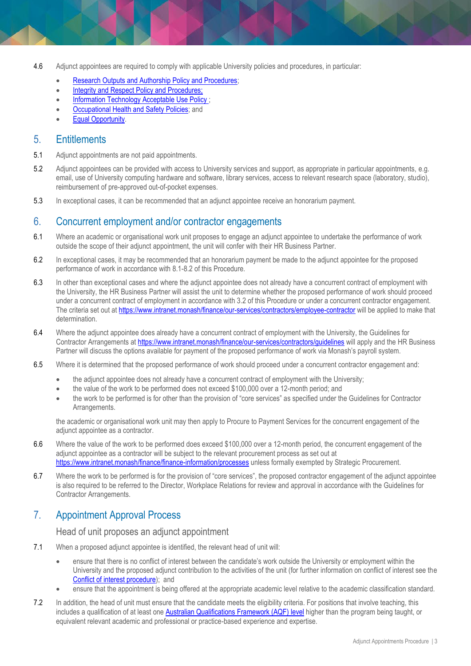- 4.6 Adjunct appointees are required to comply with applicable University policies and procedures, in particular:
	- **[Research Outputs and Authorship Policy and Procedures;](https://www.monash.edu/policy-bank/policies-and-procedures/academic/research)**
	- Integrity and Respect Policy and Procedures;
	- **Information Technology Acceptable Use Policy**;
	- [Occupational Health and Safety Policies;](https://www.monash.edu/policy-bank/ohs) and
	- [Equal Opportunity.](https://publicpolicydms.monash.edu/Monash/documents/1935682)

### 5. Entitlements

- 5.1 Adjunct appointments are not paid appointments.
- 5.2 Adjunct appointees can be provided with access to University services and support, as appropriate in particular appointments, e.g. email, use of University computing hardware and software, library services, access to relevant research space (laboratory, studio), reimbursement of pre-approved out-of-pocket expenses.
- 5.3 In exceptional cases, it can be recommended that an adjunct appointee receive an honorarium payment.

## 6. Concurrent employment and/or contractor engagements

- 6.1 Where an academic or organisational work unit proposes to engage an adjunct appointee to undertake the performance of work outside the scope of their adjunct appointment, the unit will confer with their HR Business Partner.
- 6.2 In exceptional cases, it may be recommended that an honorarium payment be made to the adjunct appointee for the proposed performance of work in accordance with 8.1-8.2 of this Procedure.
- 6.3 In other than exceptional cases and where the adjunct appointee does not already have a concurrent contract of employment with the University, the HR Business Partner will assist the unit to determine whether the proposed performance of work should proceed under a concurrent contract of employment in accordance with 3.2 of this Procedure or under a concurrent contractor engagement. The criteria set out at<https://www.intranet.monash/finance/our-services/contractors/employee-contractor> will be applied to make that determination.
- 6.4 Where the adjunct appointee does already have a concurrent contract of employment with the University, the Guidelines for Contractor Arrangements at<https://www.intranet.monash/finance/our-services/contractors/guidelines> will apply and the HR Business Partner will discuss the options available for payment of the proposed performance of work via Monash's payroll system.
- 6.5 Where it is determined that the proposed performance of work should proceed under a concurrent contractor engagement and:
	- the adjunct appointee does not already have a concurrent contract of employment with the University;
	- the value of the work to be performed does not exceed \$100,000 over a 12-month period; and
	- the work to be performed is for other than the provision of "core services" as specified under the Guidelines for Contractor Arrangements.

the academic or organisational work unit may then apply to Procure to Payment Services for the concurrent engagement of the adjunct appointee as a contractor.

- 6.6 Where the value of the work to be performed does exceed \$100,000 over a 12-month period, the concurrent engagement of the adjunct appointee as a contractor will be subject to the relevant procurement process as set out at <https://www.intranet.monash/finance/finance-information/processes> unless formally exempted by Strategic Procurement.
- 6.7 Where the work to be performed is for the provision of "core services", the proposed contractor engagement of the adjunct appointee is also required to be referred to the Director, Workplace Relations for review and approval in accordance with the Guidelines for Contractor Arrangements.

# 7. Appointment Approval Process

Head of unit proposes an adjunct appointment

- 7.1 When a proposed adjunct appointee is identified, the relevant head of unit will:
	- ensure that there is no conflict of interest between the candidate's work outside the University or employment within the University and the proposed adjunct contribution to the activities of the unit (for further information on conflict of interest see the [Conflict of interest procedure\)](https://publicpolicydms.monash.edu/Monash/documents/1935671); and
	- ensure that the appointment is being offered at the appropriate academic level relative to the academic classification standard.
- 7.2 In addition, the head of unit must ensure that the candidate meets the eligibility criteria. For positions that involve teaching, this includes a qualification of at least on[e Australian Qualifications Framework \(AQF\)](https://www.aqf.edu.au/aqf-levels) level higher than the program being taught, or equivalent relevant academic and professional or practice-based experience and expertise.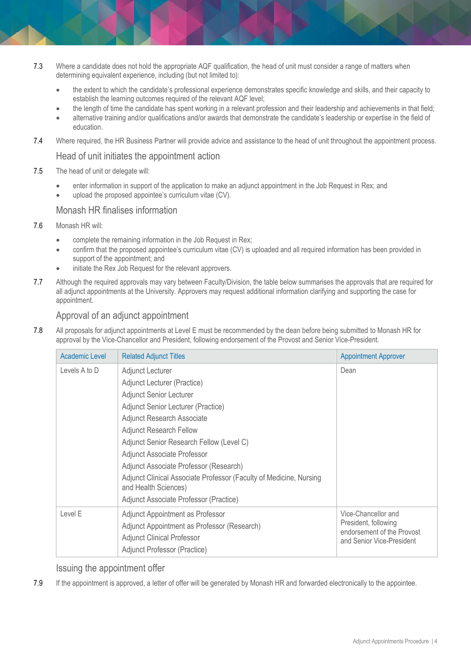- 7.3 Where a candidate does not hold the appropriate AQF qualification, the head of unit must consider a range of matters when determining equivalent experience, including (but not limited to):
	- the extent to which the candidate's professional experience demonstrates specific knowledge and skills, and their capacity to establish the learning outcomes required of the relevant AQF level;
	- the length of time the candidate has spent working in a relevant profession and their leadership and achievements in that field;
	- alternative training and/or qualifications and/or awards that demonstrate the candidate's leadership or expertise in the field of education.
- 7.4 Where required, the HR Business Partner will provide advice and assistance to the head of unit throughout the appointment process.

#### Head of unit initiates the appointment action

- 7.5 The head of unit or delegate will:
	- enter information in support of the application to make an adjunct appointment in the Job Request in Rex; and
	- upload the proposed appointee's curriculum vitae (CV).

#### Monash HR finalises information

- 7.6 Monash HR will:
	- complete the remaining information in the Job Request in Rex;
	- confirm that the proposed appointee's curriculum vitae (CV) is uploaded and all required information has been provided in support of the appointment; and
	- initiate the Rex Job Request for the relevant approvers.
- 7.7 Although the required approvals may vary between Faculty/Division, the table below summarises the approvals that are required for all adjunct appointments at the University. Approvers may request additional information clarifying and supporting the case for appointment.

### Approval of an adjunct appointment

7.8 All proposals for adjunct appointments at Level E must be recommended by the dean before being submitted to Monash HR for approval by the Vice-Chancellor and President, following endorsement of the Provost and Senior Vice-President.

| Academic Level | <b>Related Adjunct Titles</b>                                                              | <b>Appointment Approver</b>                                                                            |
|----------------|--------------------------------------------------------------------------------------------|--------------------------------------------------------------------------------------------------------|
| Levels A to D  | Adjunct Lecturer                                                                           | Dean                                                                                                   |
|                | Adjunct Lecturer (Practice)                                                                |                                                                                                        |
|                | <b>Adjunct Senior Lecturer</b>                                                             |                                                                                                        |
|                | Adjunct Senior Lecturer (Practice)                                                         |                                                                                                        |
|                | <b>Adjunct Research Associate</b>                                                          |                                                                                                        |
|                | <b>Adjunct Research Fellow</b>                                                             |                                                                                                        |
|                | Adjunct Senior Research Fellow (Level C)                                                   |                                                                                                        |
|                | Adjunct Associate Professor                                                                |                                                                                                        |
|                | Adjunct Associate Professor (Research)                                                     |                                                                                                        |
|                | Adjunct Clinical Associate Professor (Faculty of Medicine, Nursing<br>and Health Sciences) |                                                                                                        |
|                | Adjunct Associate Professor (Practice)                                                     |                                                                                                        |
| Level E        | Adjunct Appointment as Professor                                                           | Vice-Chancellor and<br>President, following<br>endorsement of the Provost<br>and Senior Vice-President |
|                | Adjunct Appointment as Professor (Research)                                                |                                                                                                        |
|                | <b>Adjunct Clinical Professor</b>                                                          |                                                                                                        |
|                | Adjunct Professor (Practice)                                                               |                                                                                                        |

#### Issuing the appointment offer

7.9 If the appointment is approved, a letter of offer will be generated by Monash HR and forwarded electronically to the appointee.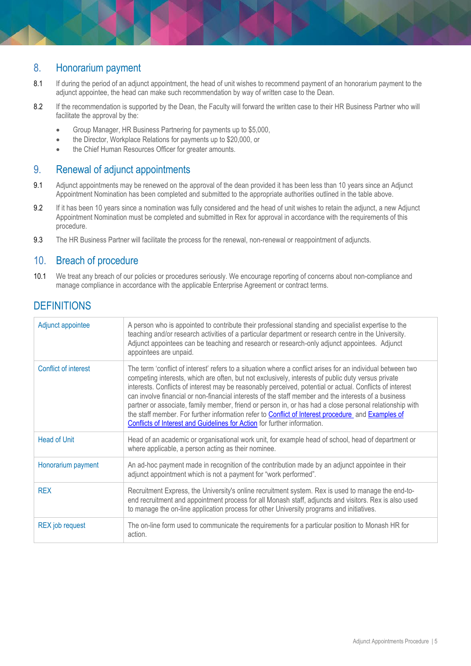# 8. Honorarium payment

- 8.1 If during the period of an adjunct appointment, the head of unit wishes to recommend payment of an honorarium payment to the adjunct appointee, the head can make such recommendation by way of written case to the Dean.
- 8.2 If the recommendation is supported by the Dean, the Faculty will forward the written case to their HR Business Partner who will facilitate the approval by the:
	- Group Manager, HR Business Partnering for payments up to \$5,000,
	- the Director, Workplace Relations for payments up to \$20,000, or
	- the Chief Human Resources Officer for greater amounts.

# 9. Renewal of adjunct appointments

- 9.1 Adjunct appointments may be renewed on the approval of the dean provided it has been less than 10 years since an Adjunct Appointment Nomination has been completed and submitted to the appropriate authorities outlined in the table above.
- 9.2 If it has been 10 years since a nomination was fully considered and the head of unit wishes to retain the adjunct, a new Adjunct Appointment Nomination must be completed and submitted in Rex for approval in accordance with the requirements of this procedure.
- 9.3 The HR Business Partner will facilitate the process for the renewal, non-renewal or reappointment of adjuncts.

## 10. Breach of procedure

10.1 We treat any breach of our policies or procedures seriously. We encourage reporting of concerns about non-compliance and manage compliance in accordance with the applicable Enterprise Agreement or contract terms.

# **DEFINITIONS**

| Adjunct appointee      | A person who is appointed to contribute their professional standing and specialist expertise to the<br>teaching and/or research activities of a particular department or research centre in the University.<br>Adjunct appointees can be teaching and research or research-only adjunct appointees. Adjunct<br>appointees are unpaid.                                                                                                                                                                                                                                                                                                                                                                                             |
|------------------------|-----------------------------------------------------------------------------------------------------------------------------------------------------------------------------------------------------------------------------------------------------------------------------------------------------------------------------------------------------------------------------------------------------------------------------------------------------------------------------------------------------------------------------------------------------------------------------------------------------------------------------------------------------------------------------------------------------------------------------------|
| Conflict of interest   | The term 'conflict of interest' refers to a situation where a conflict arises for an individual between two<br>competing interests, which are often, but not exclusively, interests of public duty versus private<br>interests. Conflicts of interest may be reasonably perceived, potential or actual. Conflicts of interest<br>can involve financial or non-financial interests of the staff member and the interests of a business<br>partner or associate, family member, friend or person in, or has had a close personal relationship with<br>the staff member. For further information refer to Conflict of Interest procedure and Examples of<br>Conflicts of Interest and Guidelines for Action for further information. |
| <b>Head of Unit</b>    | Head of an academic or organisational work unit, for example head of school, head of department or<br>where applicable, a person acting as their nominee.                                                                                                                                                                                                                                                                                                                                                                                                                                                                                                                                                                         |
| Honorarium payment     | An ad-hoc payment made in recognition of the contribution made by an adjunct appointee in their<br>adjunct appointment which is not a payment for "work performed".                                                                                                                                                                                                                                                                                                                                                                                                                                                                                                                                                               |
| <b>REX</b>             | Recruitment Express, the University's online recruitment system. Rex is used to manage the end-to-<br>end recruitment and appointment process for all Monash staff, adjuncts and visitors. Rex is also used<br>to manage the on-line application process for other University programs and initiatives.                                                                                                                                                                                                                                                                                                                                                                                                                           |
| <b>REX</b> job request | The on-line form used to communicate the requirements for a particular position to Monash HR for<br>action.                                                                                                                                                                                                                                                                                                                                                                                                                                                                                                                                                                                                                       |